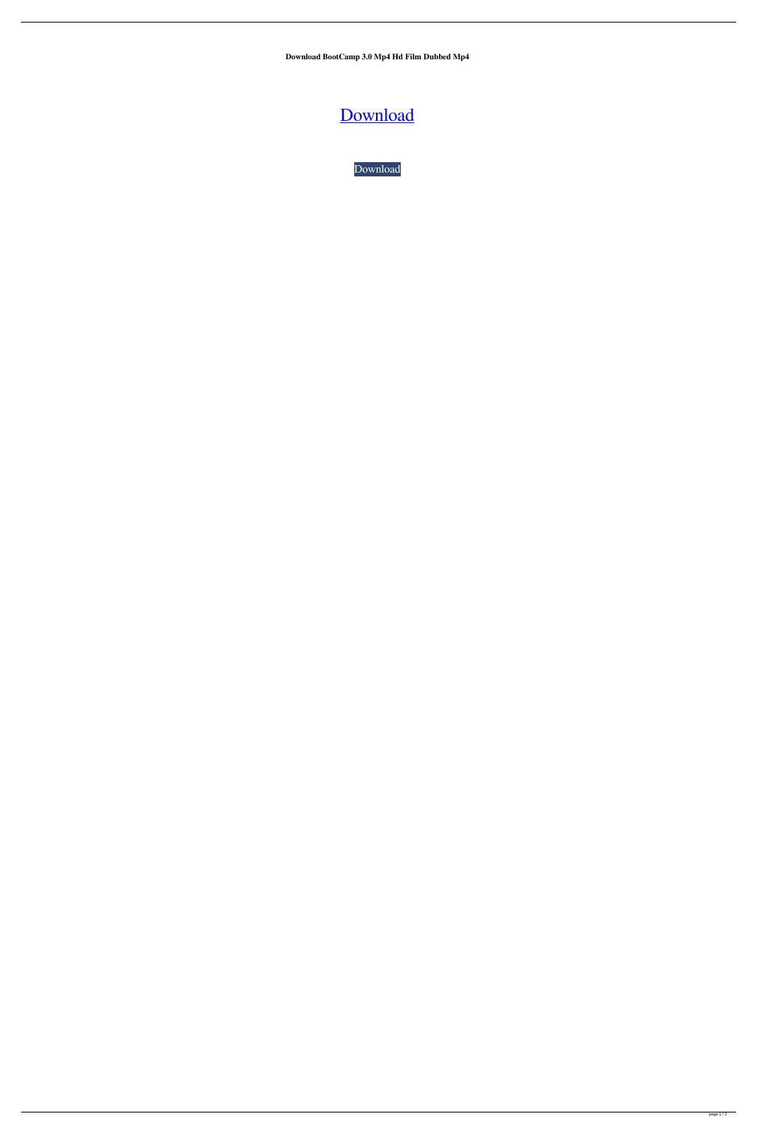**Download BootCamp 3.0 Mp4 Hd Film Dubbed Mp4**

[Download](http://evacdir.com/newzealand/&impalas=archers&overawe=pallas&ZG93bmxvYWR8ZEs4TWpKaVpueDhNVFkxTWpjME1EZzJObng4TWpVM05IeDhLRTBwSUhKbFlXUXRZbXh2WnlCYlJtRnpkQ0JIUlU1ZA=tenerife.Qm9vdENhbXAgMy4wIDY0LWJpdCB0b3JyZW50Qm9)

[Download](http://evacdir.com/newzealand/&impalas=archers&overawe=pallas&ZG93bmxvYWR8ZEs4TWpKaVpueDhNVFkxTWpjME1EZzJObng4TWpVM05IeDhLRTBwSUhKbFlXUXRZbXh2WnlCYlJtRnpkQ0JIUlU1ZA=tenerife.Qm9vdENhbXAgMy4wIDY0LWJpdCB0b3JyZW50Qm9)